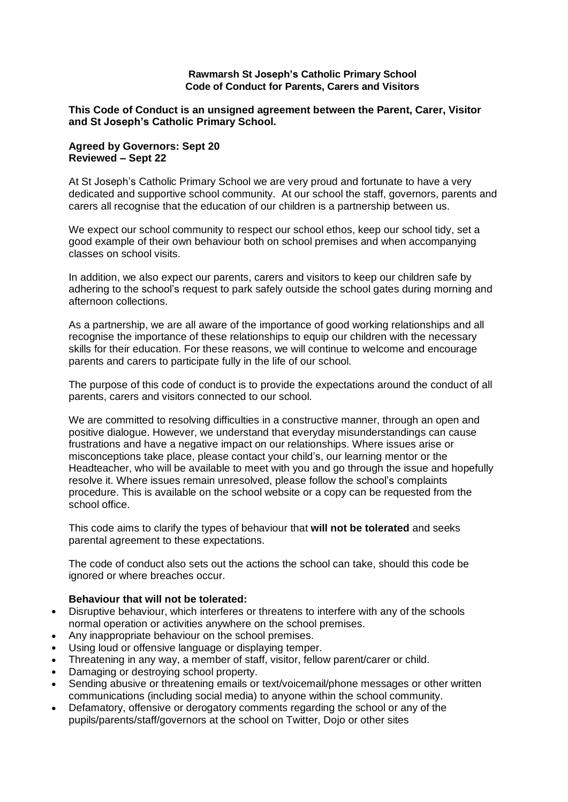### **Rawmarsh St Joseph's Catholic Primary School Code of Conduct for Parents, Carers and Visitors**

## **This Code of Conduct is an unsigned agreement between the Parent, Carer, Visitor and St Joseph's Catholic Primary School.**

## **Agreed by Governors: Sept 20 Reviewed – Sept 22**

At St Joseph's Catholic Primary School we are very proud and fortunate to have a very dedicated and supportive school community. At our school the staff, governors, parents and carers all recognise that the education of our children is a partnership between us.

We expect our school community to respect our school ethos, keep our school tidy, set a good example of their own behaviour both on school premises and when accompanying classes on school visits.

In addition, we also expect our parents, carers and visitors to keep our children safe by adhering to the school's request to park safely outside the school gates during morning and afternoon collections.

As a partnership, we are all aware of the importance of good working relationships and all recognise the importance of these relationships to equip our children with the necessary skills for their education. For these reasons, we will continue to welcome and encourage parents and carers to participate fully in the life of our school.

The purpose of this code of conduct is to provide the expectations around the conduct of all parents, carers and visitors connected to our school.

We are committed to resolving difficulties in a constructive manner, through an open and positive dialogue. However, we understand that everyday misunderstandings can cause frustrations and have a negative impact on our relationships. Where issues arise or misconceptions take place, please contact your child's, our learning mentor or the Headteacher, who will be available to meet with you and go through the issue and hopefully resolve it. Where issues remain unresolved, please follow the school's complaints procedure. This is available on the school website or a copy can be requested from the school office.

This code aims to clarify the types of behaviour that **will not be tolerated** and seeks parental agreement to these expectations.

The code of conduct also sets out the actions the school can take, should this code be ignored or where breaches occur.

# **Behaviour that will not be tolerated:**

- Disruptive behaviour, which interferes or threatens to interfere with any of the schools normal operation or activities anywhere on the school premises.
- Any inappropriate behaviour on the school premises.
- Using loud or offensive language or displaying temper.
- Threatening in any way, a member of staff, visitor, fellow parent/carer or child.
- Damaging or destroying school property.
- Sending abusive or threatening emails or text/voicemail/phone messages or other written communications (including social media) to anyone within the school community.
- Defamatory, offensive or derogatory comments regarding the school or any of the pupils/parents/staff/governors at the school on Twitter, Dojo or other sites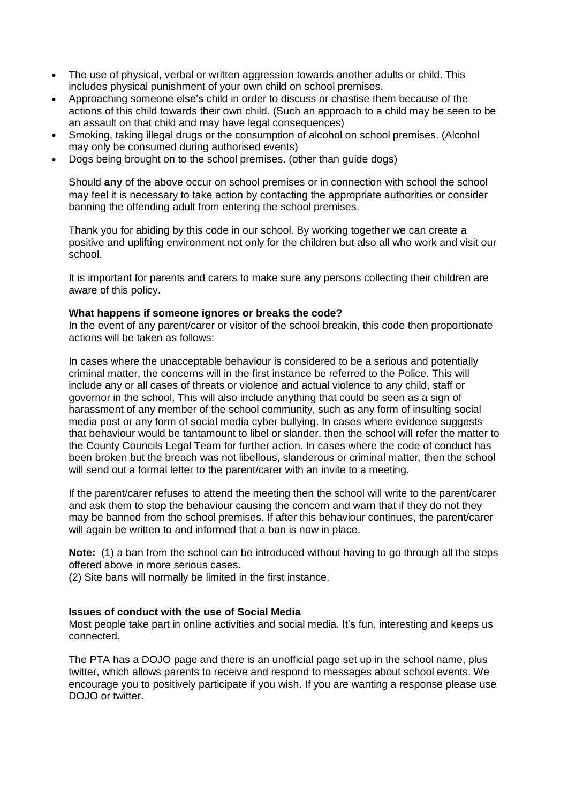- The use of physical, verbal or written aggression towards another adults or child. This includes physical punishment of your own child on school premises.
- Approaching someone else's child in order to discuss or chastise them because of the actions of this child towards their own child. (Such an approach to a child may be seen to be an assault on that child and may have legal consequences)
- Smoking, taking illegal drugs or the consumption of alcohol on school premises. (Alcohol may only be consumed during authorised events)
- Dogs being brought on to the school premises. (other than guide dogs)

Should **any** of the above occur on school premises or in connection with school the school may feel it is necessary to take action by contacting the appropriate authorities or consider banning the offending adult from entering the school premises.

Thank you for abiding by this code in our school. By working together we can create a positive and uplifting environment not only for the children but also all who work and visit our school.

It is important for parents and carers to make sure any persons collecting their children are aware of this policy.

## **What happens if someone ignores or breaks the code?**

In the event of any parent/carer or visitor of the school breakin, this code then proportionate actions will be taken as follows:

In cases where the unacceptable behaviour is considered to be a serious and potentially criminal matter, the concerns will in the first instance be referred to the Police. This will include any or all cases of threats or violence and actual violence to any child, staff or governor in the school, This will also include anything that could be seen as a sign of harassment of any member of the school community, such as any form of insulting social media post or any form of social media cyber bullying. In cases where evidence suggests that behaviour would be tantamount to libel or slander, then the school will refer the matter to the County Councils Legal Team for further action. In cases where the code of conduct has been broken but the breach was not libellous, slanderous or criminal matter, then the school will send out a formal letter to the parent/carer with an invite to a meeting.

If the parent/carer refuses to attend the meeting then the school will write to the parent/carer and ask them to stop the behaviour causing the concern and warn that if they do not they may be banned from the school premises. If after this behaviour continues, the parent/carer will again be written to and informed that a ban is now in place.

**Note:** (1) a ban from the school can be introduced without having to go through all the steps offered above in more serious cases.

(2) Site bans will normally be limited in the first instance.

### **Issues of conduct with the use of Social Media**

Most people take part in online activities and social media. It's fun, interesting and keeps us connected.

The PTA has a DOJO page and there is an unofficial page set up in the school name, plus twitter, which allows parents to receive and respond to messages about school events. We encourage you to positively participate if you wish. If you are wanting a response please use DOJO or twitter.